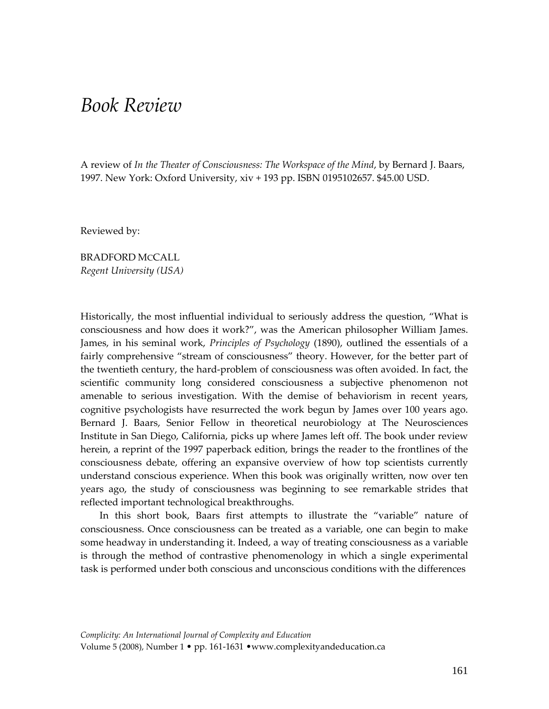## *Book Review*

A review of *In the Theater of Consciousness: The Workspace of the Mind*, by Bernard J. Baars, 1997. New York: Oxford University, xiv + 193 pp. ISBN 0195102657. \$45.00 USD.

Reviewed by:

BRADFORD MCCALL *Regent University (USA)*

Historically, the most influential individual to seriously address the question, "What is consciousness and how does it work?", was the American philosopher William James. James, in his seminal work, *Principles of Psychology* (1890), outlined the essentials of a fairly comprehensive "stream of consciousness" theory. However, for the better part of the twentieth century, the hard‐problem of consciousness was often avoided. In fact, the scientific community long considered consciousness a subjective phenomenon not amenable to serious investigation. With the demise of behaviorism in recent years, cognitive psychologists have resurrected the work begun by James over 100 years ago. Bernard J. Baars, Senior Fellow in theoretical neurobiology at The Neurosciences Institute in San Diego, California, picks up where James left off. The book under review herein, a reprint of the 1997 paperback edition, brings the reader to the frontlines of the consciousness debate, offering an expansive overview of how top scientists currently understand conscious experience. When this book was originally written, now over ten years ago, the study of consciousness was beginning to see remarkable strides that reflected important technological breakthroughs.

In this short book, Baars first attempts to illustrate the "variable" nature of consciousness. Once consciousness can be treated as a variable, one can begin to make some headway in understanding it. Indeed, a way of treating consciousness as a variable is through the method of contrastive phenomenology in which a single experimental task is performed under both conscious and unconscious conditions with the differences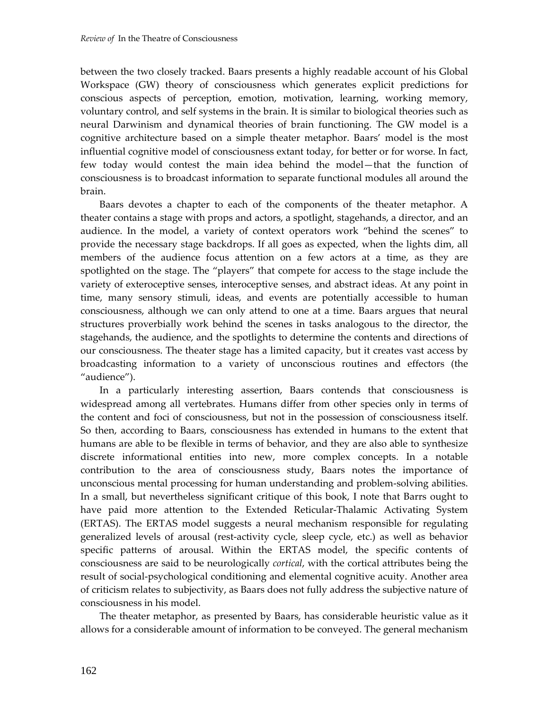between the two closely tracked. Baars presents a highly readable account of his Global Workspace (GW) theory of consciousness which generates explicit predictions for conscious aspects of perception, emotion, motivation, learning, working memory, voluntary control, and self systems in the brain. It is similar to biological theories such as neural Darwinism and dynamical theories of brain functioning. The GW model is a cognitive architecture based on a simple theater metaphor. Baars' model is the most influential cognitive model of consciousness extant today, for better or for worse. In fact, few today would contest the main idea behind the model—that the function of consciousness is to broadcast information to separate functional modules all around the brain.

Baars devotes a chapter to each of the components of the theater metaphor. A theater contains a stage with props and actors, a spotlight, stagehands, a director, and an audience. In the model, a variety of context operators work "behind the scenes" to provide the necessary stage backdrops. If all goes as expected, when the lights dim, all members of the audience focus attention on a few actors at a time, as they are spotlighted on the stage. The "players" that compete for access to the stage include the variety of exteroceptive senses, interoceptive senses, and abstract ideas. At any point in time, many sensory stimuli, ideas, and events are potentially accessible to human consciousness, although we can only attend to one at a time. Baars argues that neural structures proverbially work behind the scenes in tasks analogous to the director, the stagehands, the audience, and the spotlights to determine the contents and directions of our consciousness. The theater stage has a limited capacity, but it creates vast access by broadcasting information to a variety of unconscious routines and effectors (the "audience").

In a particularly interesting assertion, Baars contends that consciousness is widespread among all vertebrates. Humans differ from other species only in terms of the content and foci of consciousness, but not in the possession of consciousness itself. So then, according to Baars, consciousness has extended in humans to the extent that humans are able to be flexible in terms of behavior, and they are also able to synthesize discrete informational entities into new, more complex concepts. In a notable contribution to the area of consciousness study, Baars notes the importance of unconscious mental processing for human understanding and problem‐solving abilities. In a small, but nevertheless significant critique of this book, I note that Barrs ought to have paid more attention to the Extended Reticular-Thalamic Activating System (ERTAS). The ERTAS model suggests a neural mechanism responsible for regulating generalized levels of arousal (rest‐activity cycle, sleep cycle, etc.) as well as behavior specific patterns of arousal. Within the ERTAS model, the specific contents of consciousness are said to be neurologically *cortical*, with the cortical attributes being the result of social‐psychological conditioning and elemental cognitive acuity. Another area of criticism relates to subjectivity, as Baars does not fully address the subjective nature of consciousness in his model.

The theater metaphor, as presented by Baars, has considerable heuristic value as it allows for a considerable amount of information to be conveyed. The general mechanism